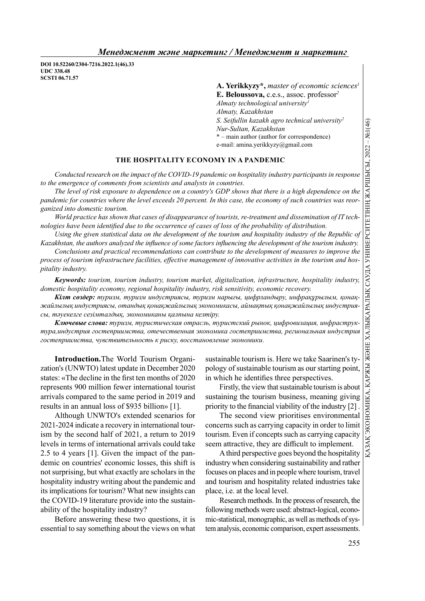DOI 10.52260/2304-7216.2022.1(46).33 UDC 338.48 SCSTI 06.71.57

> A. Yerikkyzy\*, master of economic sciences<sup>1</sup> E. Beloussova, c.e.s., assoc. professor<sup>2</sup> Almaty technological university $l$ Almaty, Kazakhstan S. Seifullin kazakh agro technical university<sup>2</sup> Nur-Sultan, Kazakhstan \* – main author (author for correspondence) e-mail: amina.yerikkyzy@gmail.com

## THE HOSPITALITY ECONOMY IN A PANDEMIC

Conducted research on the impact of the COVID-19 pandemic on hospitality industry participants in response to the emergence of comments from scientists and analysts in countries.

The level of risk exposure to dependence on a country's GDP shows that there is a high dependence on the pandemic for countries where the level exceeds 20 percent. In this case, the economy of such countries was reorganized into domestic tourism.

World practice has shown that cases of disappearance of tourists, re-treatment and dissemination of IT technologies have been identified due to the occurrence of cases of loss of the probability of distribution.

Using the given statistical data on the development of the tourism and hospitality industry of the Republic of Kazakhstan, the authors analyzed the influence of some factors influencing the development of the tourism industry.

Conclusions and practical recommendations can contribute to the development of measures to improve the process of tourism infrastructure facilities, effective management of innovative activities in the tourism and hospitality industry.

Keywords: tourism, tourism industry, tourism market, digitalization, infrastructure, hospitality industry, domestic hospitality economy, regional hospitality industry, risk sensitivity, economic recovery.

Кілт сөздер: туризм, туризм индустриясы, туризм нарығы, цифрландыру, инфрақұрылым, қонақжайлылық индустриясы, отандық қонақжайлылық экономикасы, аймақтық қонақжайлылық индустриясы, тәуекелге сезімталдық, экономиканы қалпына келтіру.

Ключевые слова: туризм, туристическая отрасль, туристский рынок, цифровизация, инфраструктура,индустрия гостеприимства, отечественная экономика гостеприимства, региональная индустрия гостеприимства, чувствительность к риску, восстановление экономики.

Introduction.The World Tourism Organization's (UNWTO) latest update in December 2020 states: «The decline in the first ten months of 2020 represents 900 million fewer international tourist arrivals compared to the same period in 2019 and results in an annual loss of \$935 billion» [1].

Although UNWTO's extended scenarios for 2021-2024 indicate a recovery in international tourism by the second half of 2021, a return to 2019 levels in terms of international arrivals could take 2.5 to 4 years [1]. Given the impact of the pandemic on countries' economic losses, this shift is not surprising, but what exactly are scholars in the hospitality industry writing about the pandemic and its implications for tourism? What new insights can the COVID-19 literature provide into the sustainability of the hospitality industry?

Before answering these two questions, it is essential to say something about the views on what sustainable tourism is. Here we take Saarinen's typology of sustainable tourism as our starting point, in which he identifies three perspectives.

sustaining the tourism business, meaning giving priority to the financial viability of the industry  $[2]$ .

S. Seifullin kazakh agro technical university<br>
Vur-Sultan, Kazakhstan<br>
V—main author (author for correspondence)<br>
The main author (author for correspondence)<br>
The vanil: anima,yerikkyzy@gmail.com<br>
IY IN A PANDEMIC<br>
mic on The second view prioritises environmental concerns such as carrying capacity in order to limit tourism. Even if concepts such as carrying capacity seem attractive, they are difficult to implement.

A third perspective goes beyond the hospitality industry when considering sustainability and rather focuses on places and in people where tourism, travel and tourism and hospitality related industries take place, i.e. at the local level.

Research methods. In the process of research, the following methods were used: abstract-logical, economic-statistical, monographic, as well as methods of system analysis, economic comparison, expert assessments.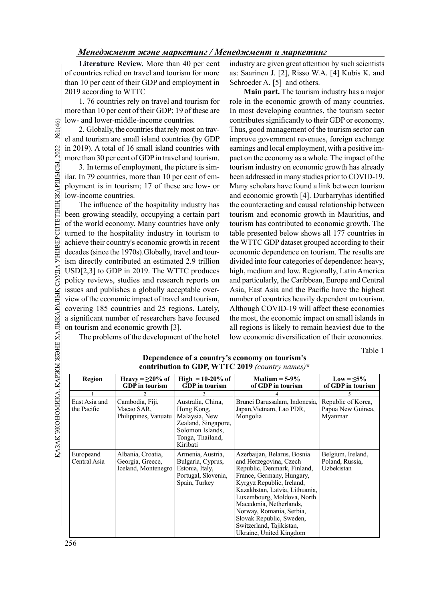### Менеджмент және маркетинг / Менеджмент и маркетинг

Literature Review. More than 40 per cent of countries relied on travel and tourism for more than 10 per cent of their GDP and employment in 2019 according to WTTC

1. 76 countries rely on travel and tourism for more than 10 per cent of their GDP; 19 of these are low- and lower-middle-income countries.

2. Globally, the countries that rely most on travel and tourism are small island countries (by GDP in 2019). A total of 16 small island countries with more than 30 per cent of GDP in travel and tourism.

3. In terms of employment, the picture is similar. In 79 countries, more than 10 per cent of employment is in tourism; 17 of these are low- or low-income countries.

General diver-mindie<br>  $\frac{1}{2}$  (a) and tourism are small<br>
and tourism are small<br>
in 2019). A total of 16 is<br>
more than 30 per cent of<br>
3. In terms of empl<br>
ilar. In 79 countries, more ployment is in tourism<br>
low-income c The influence of the hospitality industry has been growing steadily, occupying a certain part of the world economy. Many countries have only turned to the hospitality industry in tourism to achieve their country's economic growth in recent decades (since the 1970s).Globally, travel and tourism directly contributed an estimated 2.9 trillion USD[2,3] to GDP in 2019. The WTTC produces policy reviews, studies and research reports on issues and publishes a globally acceptable overview of the economic impact of travel and tourism, covering 185 countries and 25 regions. Lately, a significant number of researchers have focused on tourism and economic growth [3].

The problems of the development of the hotel

industry are given great attention by such scientists as: Saarinen J. [2], Risso W.A. [4] Kubis K. and Schroeder A. [5] and others.

Main part. The tourism industry has a major role in the economic growth of many countries. In most developing countries, the tourism sector contributes significantly to their GDP or economy. Thus, good management of the tourism sector can improve government revenues, foreign exchange earnings and local employment, with a positive impact on the economy as a whole. The impact of the tourism industry on economic growth has already been addressed in many studies prior to COVID-19. Many scholars have found a link between tourism and economic growth [4]. Durbarryhas identified the counteracting and causal relationship between tourism and economic growth in Mauritius, and tourism has contributed to economic growth. The table presented below shows all 177 countries in the WTTC GDP dataset grouped according to their economic dependence on tourism. The results are divided into four categories of dependence: heavy, high, medium and low. Regionally, Latin America and particularly, the Caribbean, Europe and Central Asia, East Asia and the Pacific have the highest number of countries heavily dependent on tourism. Although COVID-19 will affect these economies the most, the economic impact on small islands in all regions is likely to remain heaviest due to the low economic diversification of their economies.

Table 1

| Dependence of a country's economy on tourism's<br>contribution to GDP, WTTC 2019 (country names)* |                                                              |                                                                                                                             |                                                                                                                                                                                                                                                                                                                                                          |                                                    |  |
|---------------------------------------------------------------------------------------------------|--------------------------------------------------------------|-----------------------------------------------------------------------------------------------------------------------------|----------------------------------------------------------------------------------------------------------------------------------------------------------------------------------------------------------------------------------------------------------------------------------------------------------------------------------------------------------|----------------------------------------------------|--|
| <b>Region</b>                                                                                     | Heavy = $\geq$ 20% of<br><b>GDP</b> in tourism               | High $= 10-20\%$ of<br><b>GDP</b> in tourism                                                                                | Medium $=$ 5-9%<br>of GDP in tourism                                                                                                                                                                                                                                                                                                                     | Low = $\leq 5\%$<br>of GDP in tourism              |  |
|                                                                                                   |                                                              |                                                                                                                             |                                                                                                                                                                                                                                                                                                                                                          |                                                    |  |
| East Asia and<br>the Pacific                                                                      | Cambodia, Fiji,<br>Macao SAR,<br>Philippines, Vanuatu        | Australia, China,<br>Hong Kong,<br>Malaysia, New<br>Zealand, Singapore,<br>Solomon Islands,<br>Tonga, Thailand,<br>Kiribati | Brunei Darussalam, Indonesia,<br>Japan, Vietnam, Lao PDR,<br>Mongolia                                                                                                                                                                                                                                                                                    | Republic of Korea,<br>Papua New Guinea,<br>Myanmar |  |
| Europeand<br>Central Asia                                                                         | Albania, Croatia,<br>Georgia, Greece,<br>Iceland, Montenegro | Armenia, Austria,<br>Bulgaria, Cyprus,<br>Estonia, Italy,<br>Portugal, Slovenia,<br>Spain, Turkey                           | Azerbaijan, Belarus, Bosnia<br>and Herzegovina, Czech<br>Republic, Denmark, Finland,<br>France, Germany, Hungary,<br>Kyrgyz Republic, Ireland,<br>Kazakhstan, Latvia, Lithuania,<br>Luxembourg, Moldova, North<br>Macedonia, Netherlands,<br>Norway, Romania, Serbia,<br>Slovak Republic, Sweden,<br>Switzerland, Tajikistan,<br>Ukraine, United Kingdom | Belgium, Ireland,<br>Poland, Russia,<br>Uzbekistan |  |

## Dependence of a country's economy on tourism's contribution to GDP, WTTC 2019 (country names)\*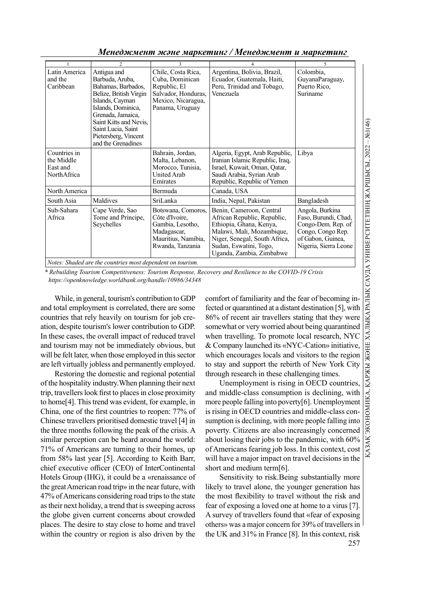Менеджмент және маркетинг / Менеджмент и маркетинг

| 1                                                                                                                                                                    | $\overline{c}$                                                                                                                                                                                                                             | 3                                                                                                                     | 4                                                                                                                                                                                                      | 5                                                                                                                                |  |  |
|----------------------------------------------------------------------------------------------------------------------------------------------------------------------|--------------------------------------------------------------------------------------------------------------------------------------------------------------------------------------------------------------------------------------------|-----------------------------------------------------------------------------------------------------------------------|--------------------------------------------------------------------------------------------------------------------------------------------------------------------------------------------------------|----------------------------------------------------------------------------------------------------------------------------------|--|--|
| Latin America<br>and the<br>Caribbean                                                                                                                                | Antigua and<br>Barbuda, Aruba,<br>Bahamas, Barbados,<br>Belize, British Virgin<br>Islands, Cayman<br>Islands, Dominica,<br>Grenada, Jamaica,<br>Saint Kitts and Nevis,<br>Saint Lucia, Saint<br>Pietersberg, Vincent<br>and the Grenadines | Chile, Costa Rica,<br>Cuba, Dominican<br>Republic, El<br>Salvador, Honduras,<br>Mexico, Nicaragua,<br>Panama, Uruguay | Argentina, Bolivia, Brazil,<br>Ecuador, Guatemala, Haiti,<br>Peru, Trinidad and Tobago,<br>Venezuela                                                                                                   | Colombia,<br>GuyanaParaguay,<br>Puerto Rico,<br>Suriname                                                                         |  |  |
| Countries in<br>the Middle<br>East and<br>NorthAfrica                                                                                                                |                                                                                                                                                                                                                                            | Bahrain, Jordan,<br>Malta, Lebanon,<br>Morocco, Tunisia,<br>United Arab<br>Emirates                                   | Algeria, Egypt, Arab Republic,<br>Iranian Islamic Republic, Iraq,<br>Israel, Kuwait, Oman, Qatar,<br>Saudi Arabia, Syrian Arab<br>Republic, Republic of Yemen                                          | Libya                                                                                                                            |  |  |
| North America                                                                                                                                                        |                                                                                                                                                                                                                                            | Bermuda                                                                                                               | Canada, USA                                                                                                                                                                                            |                                                                                                                                  |  |  |
| South Asia                                                                                                                                                           | Maldives                                                                                                                                                                                                                                   | SriLanka                                                                                                              | India, Nepal, Pakistan                                                                                                                                                                                 | Bangladesh                                                                                                                       |  |  |
| Sub-Sahara<br>Africa                                                                                                                                                 | Cape Verde, Sao<br>Tome and Principe,<br>Seychelles                                                                                                                                                                                        | Botswana, Comoros,<br>Côte d'Ivoire,<br>Gambia, Lesotho,<br>Madagascar,<br>Mauritius, Namibia,<br>Rwanda, Tanzania    | Benin, Cameroon, Central<br>African Republic, Republic,<br>Ethiopia, Ghana, Kenya,<br>Malawi, Mali, Mozambique,<br>Niger, Senegal, South Africa,<br>Sudan, Eswatini, Togo,<br>Uganda, Zambia, Zimbabwe | Angola, Burkina<br>Faso, Burundi, Chad,<br>Congo-Dem. Rep. of<br>Congo, Congo Rep.<br>of Gabon, Guinea,<br>Nigeria, Sierra Leone |  |  |
| ХАЛЫКАРАЛЫК САУДА УНИВЕРСИТЕТІНІҢ ЖАРШЫСЫ. 2022<br>Notes: Shaded are the countries most dependent on tourism.                                                        |                                                                                                                                                                                                                                            |                                                                                                                       |                                                                                                                                                                                                        |                                                                                                                                  |  |  |
| * Rebuilding Tourism Competitiveness: Tourism Response, Recovery and Resilience to the COVID-19 Crisis<br>https://openknowledge.worldbank.org/handle/10986/34348     |                                                                                                                                                                                                                                            |                                                                                                                       |                                                                                                                                                                                                        |                                                                                                                                  |  |  |
|                                                                                                                                                                      | While, in general, tourism's contribution to GDP                                                                                                                                                                                           |                                                                                                                       | comfort of familiarity and the fear of becoming in-                                                                                                                                                    |                                                                                                                                  |  |  |
|                                                                                                                                                                      | and total employment is correlated, there are some                                                                                                                                                                                         |                                                                                                                       | fected or quarantined at a distant destination [5], with                                                                                                                                               |                                                                                                                                  |  |  |
|                                                                                                                                                                      | countries that rely heavily on tourism for job cre-                                                                                                                                                                                        |                                                                                                                       | 86% of recent air travellers stating that they were                                                                                                                                                    |                                                                                                                                  |  |  |
| tion, despite tourism's lower contribution to GDP.<br>somewhat or very worried about being quarantined                                                               |                                                                                                                                                                                                                                            |                                                                                                                       |                                                                                                                                                                                                        |                                                                                                                                  |  |  |
| in these cases, the overall impact of reduced travel<br>when travelling. To promote local research, NYC                                                              |                                                                                                                                                                                                                                            |                                                                                                                       |                                                                                                                                                                                                        |                                                                                                                                  |  |  |
| and tourism may not be immediately obvious, but<br>& Company launched its «NYC-Cation» initiative,                                                                   |                                                                                                                                                                                                                                            |                                                                                                                       |                                                                                                                                                                                                        |                                                                                                                                  |  |  |
| will be felt later, when those employed in this sector<br>which encourages locals and visitors to the region                                                         |                                                                                                                                                                                                                                            |                                                                                                                       |                                                                                                                                                                                                        |                                                                                                                                  |  |  |
| РЖЫ ЖӘНЕ<br>re left virtually jobless and permanently employed.<br>to stay and support the rebirth of New York City                                                  |                                                                                                                                                                                                                                            |                                                                                                                       |                                                                                                                                                                                                        |                                                                                                                                  |  |  |
| Restoring the domestic and regional potential<br>through research in these challenging times.<br>$K\!A$                                                              |                                                                                                                                                                                                                                            |                                                                                                                       |                                                                                                                                                                                                        |                                                                                                                                  |  |  |
| of the hospitality industry. When planning their next<br>Unemployment is rising in OECD countries,                                                                   |                                                                                                                                                                                                                                            |                                                                                                                       |                                                                                                                                                                                                        |                                                                                                                                  |  |  |
| and middle-class consumption is declining, with<br>rip, travellers look first to places in close proximity                                                           |                                                                                                                                                                                                                                            |                                                                                                                       |                                                                                                                                                                                                        |                                                                                                                                  |  |  |
| o home <sup>[4]</sup> . This trend was evident, for example, in<br>more people falling into poverty[6]. Unemployment                                                 |                                                                                                                                                                                                                                            |                                                                                                                       |                                                                                                                                                                                                        |                                                                                                                                  |  |  |
| China, one of the first countries to reopen: 77% of<br>is rising in OECD countries and middle-class con-                                                             |                                                                                                                                                                                                                                            |                                                                                                                       |                                                                                                                                                                                                        |                                                                                                                                  |  |  |
| Chinese travellers prioritised domestic travel [4] in<br>sumption is declining, with more people falling into<br>he three months following the peak of the crisis. A |                                                                                                                                                                                                                                            |                                                                                                                       |                                                                                                                                                                                                        |                                                                                                                                  |  |  |
| poverty. Citizens are also increasingly concerned<br>imilar perception can be heard around the world:<br>about losing their jobs to the pandemic, with 60%           |                                                                                                                                                                                                                                            |                                                                                                                       |                                                                                                                                                                                                        |                                                                                                                                  |  |  |
| 1% of Americans are turning to their homes, up<br>of Americans fearing job loss. In this context, cost                                                               |                                                                                                                                                                                                                                            |                                                                                                                       |                                                                                                                                                                                                        |                                                                                                                                  |  |  |
|                                                                                                                                                                      |                                                                                                                                                                                                                                            |                                                                                                                       |                                                                                                                                                                                                        |                                                                                                                                  |  |  |

Restoring the domestic and regional potential of the hospitality industry.When planning their next trip, travellers look first to places in close proximity to home[4]. This trend was evident, for example, in China, one of the first countries to reopen: 77% of Chinese travellers prioritised domestic travel [4] in the three months following the peak of the crisis. A similar perception can be heard around the world: 71% of Americans are turning to their homes, up from 58% last year [5]. According to Keith Barr, chief executive officer (CEO) of InterContinental Hotels Group (IHG), it could be a «renaissance of the great American road trip» in the near future, with 47% of Americans considering road trips to the state as their next holiday, a trend that is sweeping across the globe given current concerns about crowded places. The desire to stay close to home and travel within the country or region is also driven by the

Unemployment is rising in OECD countries, and middle-class consumption is declining, with more people falling into poverty[6]. Unemployment is rising in OECD countries and middle-class consumption is declining, with more people falling into poverty. Citizens are also increasingly concerned about losing their jobs to the pandemic, with 60% of Americans fearing job loss. In this context, cost will have a major impact on travel decisions in the short and medium term[6].

257 Sensitivity to risk.Being substantially more likely to travel alone, the younger generation has the most flexibility to travel without the risk and fear of exposing a loved one at home to a virus [7]. A survey of travellers found that «fear of exposing others» was a major concern for 39% of travellers in the UK and 31% in France [8]. In this context, risk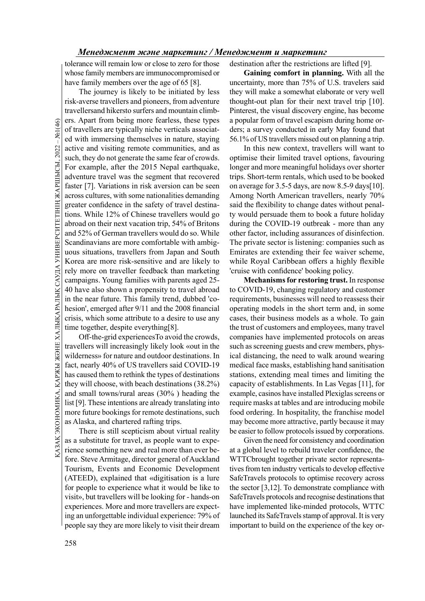tolerance will remain low or close to zero for those whose family members are immunocompromised or have family members over the age of 65 [8].

General of travellers are typical<br>of travellers are typical<br>ed with immersing the<br>active and visiting ren<br>such, they do not genera<br>For example, after the<br>adventure travel was tl<br>faster [7]. Variations in<br>across cultures, The journey is likely to be initiated by less risk-averse travellers and pioneers, from adventure travellersand hikersto surfers and mountain climbers. Apart from being more fearless, these types of travellers are typically niche verticals associated with immersing themselves in nature, staying active and visiting remote communities, and as such, they do not generate the same fear of crowds. For example, after the 2015 Nepal earthquake, adventure travel was the segment that recovered faster [7]. Variations in risk aversion can be seen across cultures, with some nationalities demanding greater confidence in the safety of travel destinations. While 12% of Chinese travellers would go abroad on their next vacation trip, 54% of Britons and 52% of German travellers would do so. While Scandinavians are more comfortable with ambiguous situations, travellers from Japan and South Korea are more risk-sensitive and are likely to rely more on traveller feedback than marketing campaigns. Young families with parents aged 25- 40 have also shown a propensity to travel abroad in the near future. This family trend, dubbed 'cohesion', emerged after 9/11 and the 2008 financial crisis, which some attribute to a desire to use any time together, despite everything[8].

While the solution is the two states and the types of destinations. In the distance and fact, nearly 40% of US travellers said COVID-19 medical face has caused them to rethink the types of destinations stations, ext they Off-the-grid experiences To avoid the crowds, travellers will increasingly likely look «out in the wilderness» for nature and outdoor destinations. In fact, nearly 40% of US travellers said COVID-19 has caused them to rethink the types of destinations they will choose, with beach destinations (38.2%) and small towns/rural areas (30% ) heading the list [9]. These intentions are already translating into more future bookings for remote destinations, such as Alaska, and chartered rafting trips.

There is still scepticism about virtual reality as a substitute for travel, as people want to experience something new and real more than ever before. Steve Armitage, director general of Auckland Tourism, Events and Economic Development (ATEED), explained that «digitisation is a lure for people to experience what it would be like to visit», but travellers will be looking for - hands-on experiences. More and more travellers are expecting an unforgettable individual experience: 79% of people say they are more likely to visit their dream

destination after the restrictions are lifted [9].

Gaining comfort in planning. With all the uncertainty, more than 75% of U.S. travelers said they will make a somewhat elaborate or very well thought-out plan for their next travel trip [10]. Pinterest, the visual discovery engine, has become a popular form of travel escapism during home orders; a survey conducted in early May found that 56.1% of US travellers missed out on planning a trip.

In this new context, travellers will want to optimise their limited travel options, favouring longer and more meaningful holidays over shorter trips. Short-term rentals, which used to be booked on average for 3.5-5 days, are now 8.5-9 days[10]. Among North American travellers, nearly 70% said the flexibility to change dates without penalty would persuade them to book a future holiday during the COVID-19 outbreak - more than any other factor, including assurances of disinfection. The private sector is listening: companies such as Emirates are extending their fee waiver scheme, while Royal Caribbean offers a highly flexible 'cruise with confidence' booking policy.

Mechanisms for restoring trust. In response to COVID-19, changing regulatory and customer requirements, businesses will need to reassess their operating models in the short term and, in some cases, their business models as a whole. To gain the trust of customers and employees, many travel companies have implemented protocols on areas such as screening guests and crew members, physical distancing, the need to walk around wearing medical face masks, establishing hand sanitisation stations, extending meal times and limiting the capacity of establishments. In Las Vegas [11], for example, casinos have installed Plexiglas screens or require masks at tables and are introducing mobile food ordering. In hospitality, the franchise model may become more attractive, partly because it may be easier to follow protocols issued by corporations.

Given the need for consistency and coordination at a global level to rebuild traveler confidence, the WTTCbrought together private sector representatives from ten industry verticals to develop effective SafeTravels protocols to optimise recovery across the sector [3,12]. To demonstrate compliance with SafeTravels protocols and recognise destinations that have implemented like-minded protocols, WTTC launched its SafeTravels stamp of approval. It is very important to build on the experience of the key or-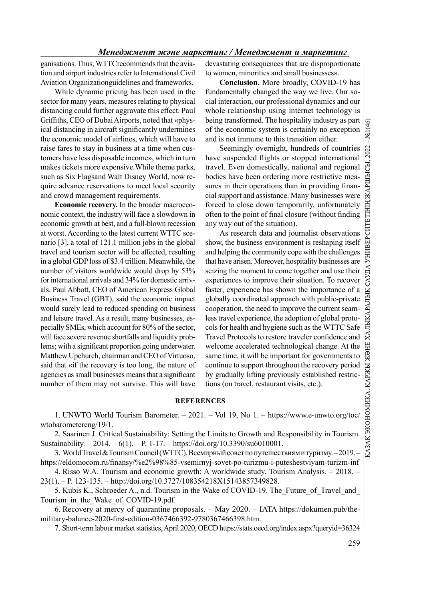### Менеджмент және маркетинг / Менеджмент и маркетинг

ganisations. Thus, WTTCrecommends that the aviation and airport industries refer to International Civil Aviation Organizationguidelines and frameworks.

While dynamic pricing has been used in the sector for many years, measures relating to physical distancing could further aggravate this effect. Paul Griffiths, CEO of Dubai Airports, noted that «physical distancing in aircraft significantly undermines the economic model of airlines, which will have to raise fares to stay in business at a time when customers have less disposable income», which in turn makes tickets more expensive.While theme parks, such as Six Flagsand Walt Disney World, now require advance reservations to meet local security and crowd management requirements.

Economic recovery. In the broader macroeconomic context, the industry will face a slowdown in economic growth at best, and a full-blown recession at worst. According to the latest current WTTC scenario [3], a total of 121.1 million jobs in the global travel and tourism sector will be affected, resulting in a global GDP loss of \$3.4 trillion. Meanwhile, the number of visitors worldwide would drop by 53% for international arrivals and 34% for domestic arrivals. Paul Abbott, CEO of American Express Global Business Travel (GBT), said the economic impact would surely lead to reduced spending on business and leisure travel. As a result, many businesses, especially SMEs, which account for 80% of the sector, will face severe revenue shortfalls and liquidity problems; with a significant proportion going underwater. Matthew Upchurch, chairman and CEO of Virtuoso, said that «if the recovery is too long, the nature of agencies as small businesses means that a significant number of them may not survive. This will have devastating consequences that are disproportionate to women, minorities and small businesses».

Conclusion. More broadly, COVID-19 has fundamentally changed the way we live. Our social interaction, our professional dynamics and our whole relationship using internet technology is being transformed. The hospitality industry as part of the economic system is certainly no exception and is not immune to this transition either.

Seemingly overnight, hundreds of countries travel. Even domestically, national and regional bodies have been ordering more restrictive measures in their operations than in providing financial support and assistance. Many businesses were forced to close down temporarily, unfortunately often to the point of final closure (without finding any way out of the situation).

Seemingly overnight, hundreds of countries have usy<br>ended flights or stopped international travel. Even domestically, national and regional<br>bodies have been ordering more restrictive measures in their operations than in p As research data and journalist observations show, the business environment is reshaping itself and helping the community cope with the challenges that have arisen. Moreover, hospitality businesses are seizing the moment to come together and use their experiences to improve their situation. To recover faster, experience has shown the importance of a globally coordinated approach with public-private cooperation, the need to improve the current seamless travel experience, the adoption of global protocols for health and hygiene such as the WTTC Safe Travel Protocols to restore traveler confidence and welcome accelerated technological change. At the same time, it will be important for governments to continue to support throughout the recovery period by gradually lifting previously established restrictions (on travel, restaurant visits, etc.).

#### **REFERENCES**

1. UNWTO World Tourism Barometer. – 2021. – Vol 19, No 1. – https://www.e-unwto.org/toc/ wtobarometereng/19/1.

2. Saarinen J. Critical Sustainability: Setting the Limits to Growth and Responsibility in Tourism. Sustainability. – 2014. – 6(1). – P. 1-17. – https://doi.org/10.3390/su6010001.

3. World Travel & Tourism Council (WTTC). Всемирный совет по путешествиям и туризму. – 2019. – https://eldomocom.ru/finansy/%e2%98%85-vsemirnyj-sovet-po-turizmu-i-puteshestviyam-turizm-inf

4. Risso W.A. Tourism and economic growth: A worldwide study. Tourism Analysis. – 2018. – 23(1). – P. 123-135. – http://doi.org/10.3727/108354218X15143857349828.

5. Kubis K., Schroeder A., n.d. Tourism in the Wake of COVID-19. The Future of Travel and Tourism in the Wake of COVID-19.pdf.

6. Recovery at mercy of quarantine proposals. – May 2020. – IATA https://dokumen.pub/themilitary-balance-2020-first-edition-0367466392-9780367466398.htm.

7. Short-term labour market statistics, April 2020, OECD https://stats.oecd.org/index.aspx?queryid=36324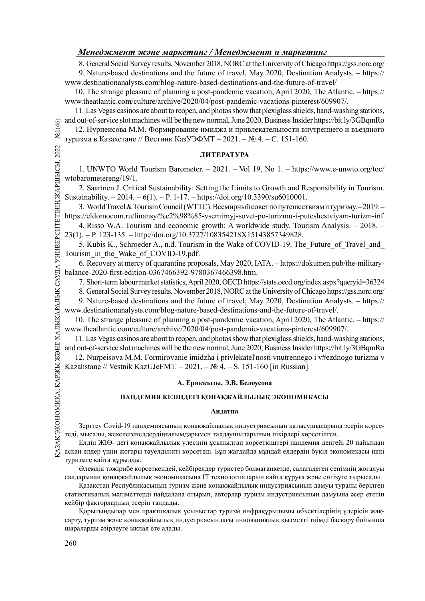# Менеджмент және маркетинг / Менеджмент и маркетинг

8. General Social Survey results, November 2018, NORC at the University of Chicago https://gss.norc.org/ 9. Nature-based destinations and the future of travel, May 2020, Destination Analysts. – https:// www.destinationanalysts.com/blog-nature-based-destinations-and-the-future-of-travel/

10. The strange pleasure of planning a post-pandemic vacation, April 2020, The Atlantic. – https:// www.theatlantic.com/culture/archive/2020/04/post-pandemic-vacations-pinterest/609907/.

11. Las Vegas casinos are about to reopen, and photos show that plexiglass shields, hand-washing stations, and out-of-service slot machines will be the new normal, June 2020, Business Insider https://bit.ly/3GBqmRo

12. Нурпеисова М.М. Формирование имиджа и привлекательности внутреннего и въездного туризма в Казахстане // Вестник КазУЭФМТ – 2021. – № 4. – С. 151-160.

### ЛИТЕРАТУРА

1. UNWTO World Tourism Barometer. – 2021. – Vol 19, No 1. – https://www.e-unwto.org/toc/ wtobarometereng/19/1.

2. Saarinen J. Critical Sustainability: Setting the Limits to Growth and Responsibility in Tourism. Sustainability. – 2014. – 6(1). – P. 1-17. – https://doi.org/10.3390/su6010001.

3. World Travel & Tourism Council (WTTC). Всемирный совет по путешествиям и туризму. – 2019. – https://eldomocom.ru/finansy/%e2%98%85-vsemirnyj-sovet-po-turizmu-i-puteshestviyam-turizm-inf 4. Risso W.A. Tourism and economic growth: A worldwide study. Tourism Analysis. – 2018. –

23(1). – P. 123-135. – http://doi.org/10.3727/108354218X15143857349828.

5. Kubis K., Schroeder A., n.d. Tourism in the Wake of COVID-19. The\_Future\_of\_Travel\_and\_ Tourism in the Wake of COVID-19.pdf.

6. Recovery at mercy of quarantine proposals, May 2020, IATA. – https://dokumen.pub/the-militarybalance-2020-first-edition-0367466392-9780367466398.htm.

7. Short-term labour market statistics, April 2020, OECD https://stats.oecd.org/index.aspx?queryid=36324

8. General Social Survey results, November 2018, NORC at the University of Chicago https://gss.norc.org/

9. Nature-based destinations and the future of travel, May 2020, Destination Analysts. – https://

www.destinationanalysts.com/blog-nature-based-destinations-and-the-future-of-travel/.

10. The strange pleasure of planning a post-pandemic vacation, April 2020, The Atlantic. – https:// www.theatlantic.com/culture/archive/2020/04/post-pandemic-vacations-pinterest/609907/.

11. Las Vegas casinos are about to reopen, and photos show that plexiglass shields, hand-washing stations, and out-of-service slot machines will be the new normal, June 2020, Business Insider https://bit.ly/3GBqmRo

12. Nurpeisova M.M. Formirovanie imidzha i privlekatel'nosti vnutrennego i v#ezdnogo turizma v Kazahstane // Vestnik KazUJeFMT. – 2021. – № 4. – S. 151-160 [in Russian].

## А. Ериккызы, Э.В. Белоусова

### ПАНДЕМИЯ КЕЗІНДЕГІ ҚОНАҚЖАЙЛЫЛЫҚ ЭКОНОМИКАСЫ

#### Андатпа

Зерттеу Covid-19 пандемиясының қонақжайлылық индустриясының қатысушыларына әсерін көрсетеді, мысалы, жекелегенелдердіңғалымдарымен талдаушыларының пікірлері көрсетілген.

 $\frac{12}{12}$  Каzahstane // Vestnik KazUJeFMT. – 2021. – № 4. – S. 151-160<br>
Каzahstane // Vestnik KazUJeFMT. – 2021. – № 4. – S. 151-160<br>
А. Ериккызы, Э.В. Белоусов<br>
ПАНДЕМИЯ КЕЗІНДЕГІ ҚОНАҚЖАЙЛЫЛЫҚ<br>
ДНДАТПА<br>
Зерттеу Covid Елдің ЖІӨ- дегі қонақжайлылық үлесінің ұсынылған көрсеткіштері пандемия деңгейі 20 пайыздан асқан елдер үшін жоғары тәуелділікті көрсетеді. Бұл жағдайда мұндай елдердің бүкіл экономикасы ішкі туризмге қайта құрылды.

Әлемдік тәжірибе көрсеткендей, кейбірелдер туристер болмағанкезде, салағадеген сенімнің жоғалуы салдарынан қонақжайлылық экономикасына IT технологияларын қайта құруға және енгізуге тырысады.

Қазақстан Республикасының туризм және қонақжайлылық индустриясының дамуы туралы берілген статистикалық мәліметтерді пайдалана отырып, авторлар туризм индустриясының дамуына әсер ететін кейбір факторлардың әсерін талдады.

Қорытындылар мен практикалық ұсыныстар туризм инфрақұрылымы объектілерінің үдерісін жақсарту, туризм және қонақжайлылық индустриясындағы инновациялық қызметті тиімді басқару бойынша шараларды әзірлеуге ықпал ете алады.